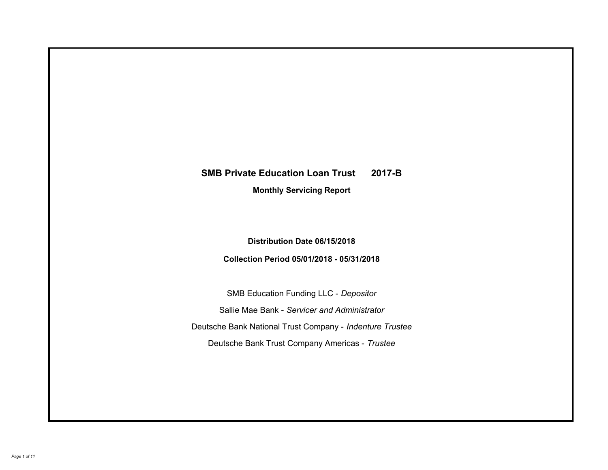# **SMB Private Education Loan Trust 2017-B Monthly Servicing Report**

## **Distribution Date 06/15/2018**

# **Collection Period 05/01/2018 - 05/31/2018**

SMB Education Funding LLC - *Depositor* Sallie Mae Bank - *Servicer and Administrator* Deutsche Bank National Trust Company - *Indenture Trustee* Deutsche Bank Trust Company Americas - *Trustee*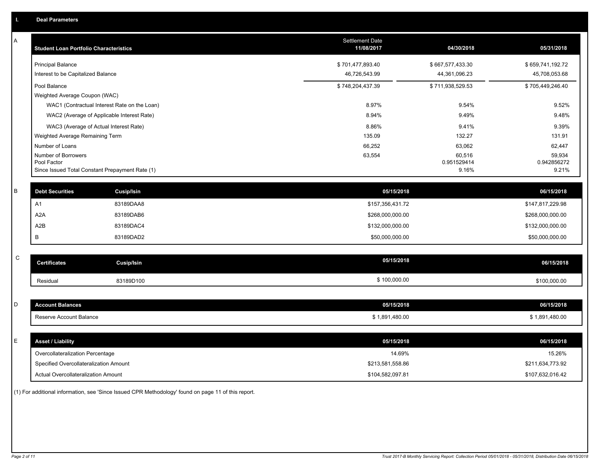| А           | <b>Student Loan Portfolio Characteristics</b>   |                   | <b>Settlement Date</b><br>11/08/2017 | 04/30/2018            | 05/31/2018            |
|-------------|-------------------------------------------------|-------------------|--------------------------------------|-----------------------|-----------------------|
|             | <b>Principal Balance</b>                        |                   | \$701,477,893.40                     | \$667,577,433.30      | \$659,741,192.72      |
|             | Interest to be Capitalized Balance              |                   | 46,726,543.99                        | 44,361,096.23         | 45,708,053.68         |
|             | Pool Balance                                    |                   | \$748,204,437.39                     | \$711,938,529.53      | \$705,449,246.40      |
|             | Weighted Average Coupon (WAC)                   |                   |                                      |                       |                       |
|             | WAC1 (Contractual Interest Rate on the Loan)    |                   | 8.97%                                | 9.54%                 | 9.52%                 |
|             | WAC2 (Average of Applicable Interest Rate)      |                   | 8.94%                                | 9.49%                 | 9.48%                 |
|             | WAC3 (Average of Actual Interest Rate)          |                   | 8.86%                                | 9.41%                 | 9.39%                 |
|             | Weighted Average Remaining Term                 |                   | 135.09                               | 132.27                | 131.91                |
|             | Number of Loans                                 |                   | 66,252                               | 63,062                | 62,447                |
|             | Number of Borrowers<br>Pool Factor              |                   | 63,554                               | 60,516<br>0.951529414 | 59,934<br>0.942856272 |
|             | Since Issued Total Constant Prepayment Rate (1) |                   |                                      | 9.16%                 | 9.21%                 |
|             |                                                 |                   |                                      |                       |                       |
| B           | <b>Debt Securities</b>                          | Cusip/Isin        | 05/15/2018                           |                       | 06/15/2018            |
|             | A1                                              | 83189DAA8         | \$157,356,431.72                     |                       | \$147,817,229.98      |
|             | A <sub>2</sub> A                                | 83189DAB6         | \$268,000,000.00                     |                       | \$268,000,000.00      |
|             | A2B                                             | 83189DAC4         | \$132,000,000.00                     |                       | \$132,000,000.00      |
|             | B                                               | 83189DAD2         | \$50,000,000.00                      |                       | \$50,000,000.00       |
|             |                                                 |                   |                                      |                       |                       |
| $\mathsf C$ | <b>Certificates</b>                             | <b>Cusip/Isin</b> | 05/15/2018                           |                       | 06/15/2018            |
|             | Residual                                        | 83189D100         | \$100,000.00                         |                       | \$100,000.00          |
|             |                                                 |                   |                                      |                       |                       |
| D           | <b>Account Balances</b>                         |                   | 05/15/2018                           |                       | 06/15/2018            |
|             | Reserve Account Balance                         |                   | \$1,891,480.00                       |                       | \$1,891,480.00        |
|             |                                                 |                   |                                      |                       |                       |
| E           | <b>Asset / Liability</b>                        |                   | 05/15/2018                           |                       | 06/15/2018            |
|             | Overcollateralization Percentage                |                   | 14.69%                               |                       | 15.26%                |
|             | Specified Overcollateralization Amount          |                   | \$213,581,558.86                     |                       | \$211,634,773.92      |
|             | Actual Overcollateralization Amount             |                   | \$104,582,097.81                     |                       | \$107,632,016.42      |

(1) For additional information, see 'Since Issued CPR Methodology' found on page 11 of this report.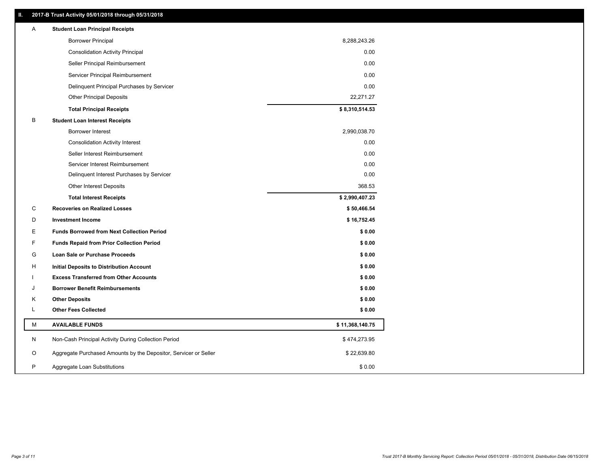### **II. 2017-B Trust Activity 05/01/2018 through 05/31/2018**

| Α | <b>Student Loan Principal Receipts</b>                           |                 |
|---|------------------------------------------------------------------|-----------------|
|   | <b>Borrower Principal</b>                                        | 8,288,243.26    |
|   | <b>Consolidation Activity Principal</b>                          | 0.00            |
|   | Seller Principal Reimbursement                                   | 0.00            |
|   | Servicer Principal Reimbursement                                 | 0.00            |
|   | Delinquent Principal Purchases by Servicer                       | 0.00            |
|   | <b>Other Principal Deposits</b>                                  | 22,271.27       |
|   | <b>Total Principal Receipts</b>                                  | \$8,310,514.53  |
| B | <b>Student Loan Interest Receipts</b>                            |                 |
|   | <b>Borrower Interest</b>                                         | 2,990,038.70    |
|   | <b>Consolidation Activity Interest</b>                           | 0.00            |
|   | Seller Interest Reimbursement                                    | 0.00            |
|   | Servicer Interest Reimbursement                                  | 0.00            |
|   | Delinquent Interest Purchases by Servicer                        | 0.00            |
|   | <b>Other Interest Deposits</b>                                   | 368.53          |
|   | <b>Total Interest Receipts</b>                                   | \$2,990,407.23  |
| C | <b>Recoveries on Realized Losses</b>                             | \$50,466.54     |
| D | <b>Investment Income</b>                                         | \$16,752.45     |
| Ε | <b>Funds Borrowed from Next Collection Period</b>                | \$0.00          |
| F | <b>Funds Repaid from Prior Collection Period</b>                 | \$0.00          |
| G | Loan Sale or Purchase Proceeds                                   | \$0.00          |
| н | Initial Deposits to Distribution Account                         | \$0.00          |
|   | <b>Excess Transferred from Other Accounts</b>                    | \$0.00          |
| J | <b>Borrower Benefit Reimbursements</b>                           | \$0.00          |
| Κ | <b>Other Deposits</b>                                            | \$0.00          |
| L | <b>Other Fees Collected</b>                                      | \$0.00          |
| M | <b>AVAILABLE FUNDS</b>                                           | \$11,368,140.75 |
| N | Non-Cash Principal Activity During Collection Period             | \$474,273.95    |
| O | Aggregate Purchased Amounts by the Depositor, Servicer or Seller | \$22,639.80     |
| P | Aggregate Loan Substitutions                                     | \$0.00          |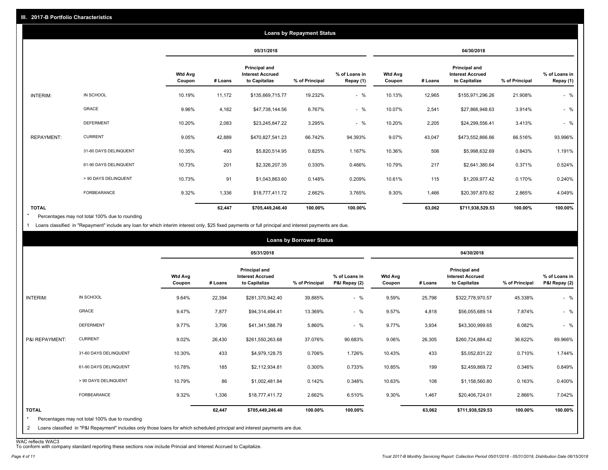|                   |                       |                          |         |                                                           | <b>Loans by Repayment Status</b> |                            |                          |         |                                                                  |                |                            |
|-------------------|-----------------------|--------------------------|---------|-----------------------------------------------------------|----------------------------------|----------------------------|--------------------------|---------|------------------------------------------------------------------|----------------|----------------------------|
|                   |                       |                          |         | 05/31/2018                                                |                                  |                            |                          |         | 04/30/2018                                                       |                |                            |
|                   |                       | <b>Wtd Avg</b><br>Coupon | # Loans | Principal and<br><b>Interest Accrued</b><br>to Capitalize | % of Principal                   | % of Loans in<br>Repay (1) | <b>Wtd Avg</b><br>Coupon | # Loans | <b>Principal and</b><br><b>Interest Accrued</b><br>to Capitalize | % of Principal | % of Loans in<br>Repay (1) |
| INTERIM:          | IN SCHOOL             | 10.19%                   | 11,172  | \$135,669,715.77                                          | 19.232%                          | $-$ %                      | 10.13%                   | 12,965  | \$155,971,296.26                                                 | 21.908%        | $-$ %                      |
|                   | GRACE                 | 9.96%                    | 4,182   | \$47,738,144.56                                           | 6.767%                           | $-$ %                      | 10.07%                   | 2,541   | \$27,866,948.63                                                  | 3.914%         | $-$ %                      |
|                   | <b>DEFERMENT</b>      | 10.20%                   | 2,083   | \$23,245,847.22                                           | 3.295%                           | $-$ %                      | 10.20%                   | 2,205   | \$24,299,556.41                                                  | 3.413%         | $-$ %                      |
| <b>REPAYMENT:</b> | <b>CURRENT</b>        | 9.05%                    | 42,889  | \$470,827,541.23                                          | 66.742%                          | 94.393%                    | 9.07%                    | 43,047  | \$473,552,866.66                                                 | 66.516%        | 93.996%                    |
|                   | 31-60 DAYS DELINQUENT | 10.35%                   | 493     | \$5,820,514.95                                            | 0.825%                           | 1.167%                     | 10.36%                   | 506     | \$5,998,632.69                                                   | 0.843%         | 1.191%                     |
|                   | 61-90 DAYS DELINQUENT | 10.73%                   | 201     | \$2,326,207.35                                            | 0.330%                           | 0.466%                     | 10.79%                   | 217     | \$2,641,380.64                                                   | 0.371%         | 0.524%                     |
|                   | > 90 DAYS DELINQUENT  | 10.73%                   | 91      | \$1,043,863.60                                            | 0.148%                           | 0.209%                     | 10.61%                   | 115     | \$1,209,977.42                                                   | 0.170%         | 0.240%                     |
|                   | <b>FORBEARANCE</b>    | 9.32%                    | 1,336   | \$18,777,411.72                                           | 2.662%                           | 3.765%                     | 9.30%                    | 1,466   | \$20,397,870.82                                                  | 2.865%         | 4.049%                     |
| <b>TOTAL</b>      |                       |                          | 62,447  | \$705,449,246.40                                          | 100.00%                          | 100.00%                    |                          | 63,062  | \$711,938,529.53                                                 | 100.00%        | 100.00%                    |

Percentages may not total 100% due to rounding \*

1 Loans classified in "Repayment" include any loan for which interim interest only, \$25 fixed payments or full principal and interest payments are due.

|                         |                                                                                                                            |                          |         |                                                           | <b>Loans by Borrower Status</b> |                                |                          |         |                                                                  |                |                                |
|-------------------------|----------------------------------------------------------------------------------------------------------------------------|--------------------------|---------|-----------------------------------------------------------|---------------------------------|--------------------------------|--------------------------|---------|------------------------------------------------------------------|----------------|--------------------------------|
|                         |                                                                                                                            |                          |         | 05/31/2018                                                |                                 |                                |                          |         | 04/30/2018                                                       |                |                                |
|                         |                                                                                                                            | <b>Wtd Avg</b><br>Coupon | # Loans | Principal and<br><b>Interest Accrued</b><br>to Capitalize | % of Principal                  | % of Loans in<br>P&I Repay (2) | <b>Wtd Avg</b><br>Coupon | # Loans | <b>Principal and</b><br><b>Interest Accrued</b><br>to Capitalize | % of Principal | % of Loans in<br>P&I Repay (2) |
| INTERIM:                | IN SCHOOL                                                                                                                  | 9.64%                    | 22,394  | \$281,370,942.40                                          | 39.885%                         | $-$ %                          | 9.59%                    | 25,798  | \$322,778,970.57                                                 | 45.338%        | $-$ %                          |
|                         | <b>GRACE</b>                                                                                                               | 9.47%                    | 7,877   | \$94,314,494.41                                           | 13.369%                         | $-$ %                          | 9.57%                    | 4,818   | \$56,055,689.14                                                  | 7.874%         | $-$ %                          |
|                         | <b>DEFERMENT</b>                                                                                                           | 9.77%                    | 3,706   | \$41,341,588.79                                           | 5.860%                          | $-$ %                          | 9.77%                    | 3,934   | \$43,300,999.65                                                  | 6.082%         | $-$ %                          |
| P&I REPAYMENT:          | <b>CURRENT</b>                                                                                                             | 9.02%                    | 26,430  | \$261,550,263.68                                          | 37.076%                         | 90.683%                        | 9.06%                    | 26,305  | \$260,724,884.42                                                 | 36.622%        | 89.966%                        |
|                         | 31-60 DAYS DELINQUENT                                                                                                      | 10.30%                   | 433     | \$4,979,128.75                                            | 0.706%                          | 1.726%                         | 10.43%                   | 433     | \$5,052,831.22                                                   | 0.710%         | 1.744%                         |
|                         | 61-90 DAYS DELINQUENT                                                                                                      | 10.78%                   | 185     | \$2,112,934.81                                            | 0.300%                          | 0.733%                         | 10.85%                   | 199     | \$2,459,869.72                                                   | 0.346%         | 0.849%                         |
|                         | > 90 DAYS DELINQUENT                                                                                                       | 10.79%                   | 86      | \$1,002,481.84                                            | 0.142%                          | 0.348%                         | 10.63%                   | 108     | \$1,158,560.80                                                   | 0.163%         | 0.400%                         |
|                         | FORBEARANCE                                                                                                                | 9.32%                    | 1,336   | \$18,777,411.72                                           | 2.662%                          | 6.510%                         | 9.30%                    | 1,467   | \$20,406,724.01                                                  | 2.866%         | 7.042%                         |
| <b>TOTAL</b><br>$\star$ | Percentages may not total 100% due to rounding                                                                             |                          | 62,447  | \$705,449,246.40                                          | 100.00%                         | 100.00%                        |                          | 63,062  | \$711,938,529.53                                                 | 100.00%        | 100.00%                        |
| $\overline{2}$          | Loans classified in "P&I Repayment" includes only those loans for which scheduled principal and interest payments are due. |                          |         |                                                           |                                 |                                |                          |         |                                                                  |                |                                |

WAC reflects WAC3 To conform with company standard reporting these sections now include Princial and Interest Accrued to Capitalize.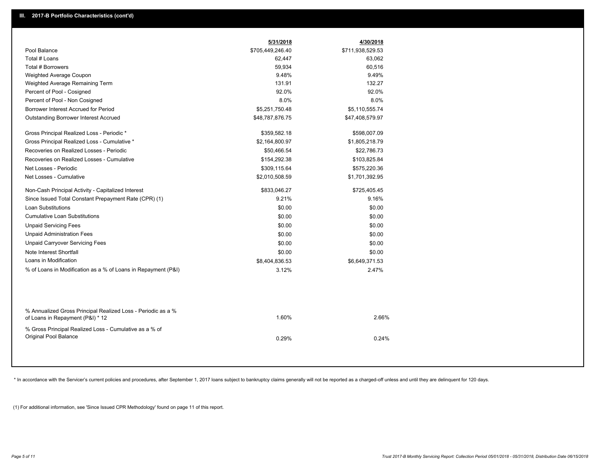|                                                                                                  | 5/31/2018        | 4/30/2018        |  |
|--------------------------------------------------------------------------------------------------|------------------|------------------|--|
| Pool Balance                                                                                     | \$705,449,246.40 | \$711,938,529.53 |  |
| Total # Loans                                                                                    | 62,447           | 63,062           |  |
| Total # Borrowers                                                                                | 59,934           | 60,516           |  |
| Weighted Average Coupon                                                                          | 9.48%            | 9.49%            |  |
| Weighted Average Remaining Term                                                                  | 131.91           | 132.27           |  |
| Percent of Pool - Cosigned                                                                       | 92.0%            | 92.0%            |  |
| Percent of Pool - Non Cosigned                                                                   | 8.0%             | 8.0%             |  |
| Borrower Interest Accrued for Period                                                             | \$5,251,750.48   | \$5,110,555.74   |  |
| Outstanding Borrower Interest Accrued                                                            | \$48,787,876.75  | \$47,408,579.97  |  |
| Gross Principal Realized Loss - Periodic *                                                       | \$359,582.18     | \$598,007.09     |  |
| Gross Principal Realized Loss - Cumulative *                                                     | \$2,164,800.97   | \$1,805,218.79   |  |
| Recoveries on Realized Losses - Periodic                                                         | \$50,466.54      | \$22,786.73      |  |
| Recoveries on Realized Losses - Cumulative                                                       | \$154,292.38     | \$103,825.84     |  |
| Net Losses - Periodic                                                                            | \$309,115.64     | \$575,220.36     |  |
| Net Losses - Cumulative                                                                          | \$2,010,508.59   | \$1,701,392.95   |  |
| Non-Cash Principal Activity - Capitalized Interest                                               | \$833,046.27     | \$725,405.45     |  |
| Since Issued Total Constant Prepayment Rate (CPR) (1)                                            | 9.21%            | 9.16%            |  |
| <b>Loan Substitutions</b>                                                                        | \$0.00           | \$0.00           |  |
| <b>Cumulative Loan Substitutions</b>                                                             | \$0.00           | \$0.00           |  |
| <b>Unpaid Servicing Fees</b>                                                                     | \$0.00           | \$0.00           |  |
| <b>Unpaid Administration Fees</b>                                                                | \$0.00           | \$0.00           |  |
| <b>Unpaid Carryover Servicing Fees</b>                                                           | \$0.00           | \$0.00           |  |
| Note Interest Shortfall                                                                          | \$0.00           | \$0.00           |  |
| Loans in Modification                                                                            | \$8,404,836.53   | \$6,649,371.53   |  |
| % of Loans in Modification as a % of Loans in Repayment (P&I)                                    | 3.12%            | 2.47%            |  |
|                                                                                                  |                  |                  |  |
| % Annualized Gross Principal Realized Loss - Periodic as a %<br>of Loans in Repayment (P&I) * 12 | 1.60%            | 2.66%            |  |
| % Gross Principal Realized Loss - Cumulative as a % of                                           |                  |                  |  |
| Original Pool Balance                                                                            | 0.29%            | 0.24%            |  |
|                                                                                                  |                  |                  |  |

\* In accordance with the Servicer's current policies and procedures, after September 1, 2017 loans subject to bankruptcy claims generally will not be reported as a charged-off unless and until they are delinquent for 120 d

(1) For additional information, see 'Since Issued CPR Methodology' found on page 11 of this report.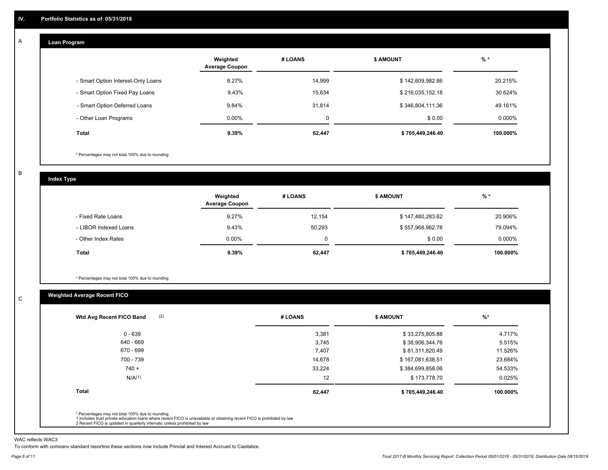#### **Loan Program**  A

|                                    | Weighted<br><b>Average Coupon</b> | # LOANS | <b>S AMOUNT</b>  | $%$ *    |
|------------------------------------|-----------------------------------|---------|------------------|----------|
| - Smart Option Interest-Only Loans | 8.27%                             | 14,999  | \$142,609,982.86 | 20.215%  |
| - Smart Option Fixed Pay Loans     | 9.43%                             | 15.634  | \$216,035,152.18 | 30.624%  |
| - Smart Option Deferred Loans      | 9.84%                             | 31.814  | \$346,804,111.36 | 49.161%  |
| - Other Loan Programs              | $0.00\%$                          | 0       | \$0.00           | 0.000%   |
| Total                              | $9.39\%$                          | 62,447  | \$705,449,246.40 | 100.000% |

\* Percentages may not total 100% due to rounding

B

C

**Index Type**

|                       | Weighted<br><b>Average Coupon</b> | # LOANS  | <b>\$ AMOUNT</b> | $%$ *     |
|-----------------------|-----------------------------------|----------|------------------|-----------|
| - Fixed Rate Loans    | 9.27%                             | 12.154   | \$147,480,283.62 | 20.906%   |
| - LIBOR Indexed Loans | 9.43%                             | 50,293   | \$557,968,962.78 | 79.094%   |
| - Other Index Rates   | $0.00\%$                          | $\Omega$ | \$0.00           | $0.000\%$ |
| <b>Total</b>          | 9.39%                             | 62,447   | \$705,449,246.40 | 100.000%  |

\* Percentages may not total 100% due to rounding

### **Weighted Average Recent FICO**

| (2)<br>Wtd Avg Recent FICO Band | # LOANS | <b>\$ AMOUNT</b> | $%$ *    |
|---------------------------------|---------|------------------|----------|
| $0 - 639$                       | 3,381   | \$33,275,805.88  | 4.717%   |
| 640 - 669                       | 3,745   | \$38,906,344.76  | 5.515%   |
| 670 - 699                       | 7,407   | \$81,311,820.49  | 11.526%  |
| 700 - 739                       | 14,678  | \$167,081,638.51 | 23.684%  |
| $740 +$                         | 33,224  | \$384,699,858.06 | 54.533%  |
| N/A(1)                          | 12      | \$173,778.70     | 0.025%   |
| <b>Total</b>                    | 62,447  | \$705,449,246.40 | 100.000% |
|                                 |         |                  |          |

WAC reflects WAC3

To conform with company standard reporting these sections now include Princial and Interest Accrued to Capitalize.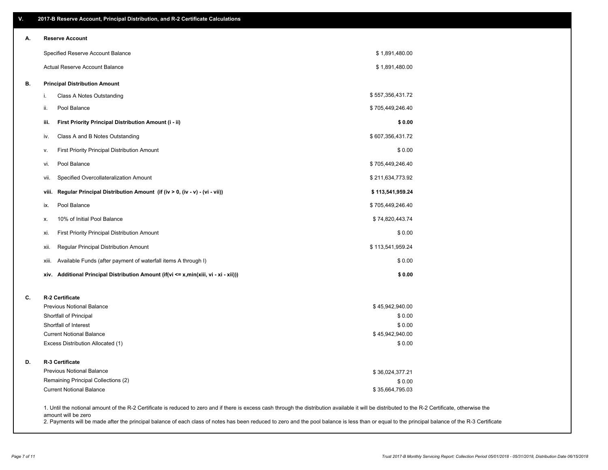| А. | <b>Reserve Account</b>                                                               |                  |  |
|----|--------------------------------------------------------------------------------------|------------------|--|
|    | Specified Reserve Account Balance                                                    | \$1,891,480.00   |  |
|    | Actual Reserve Account Balance                                                       | \$1,891,480.00   |  |
| В. | <b>Principal Distribution Amount</b>                                                 |                  |  |
|    | Class A Notes Outstanding<br>i.                                                      | \$557,356,431.72 |  |
|    | Pool Balance<br>ii.                                                                  | \$705,449,246.40 |  |
|    | First Priority Principal Distribution Amount (i - ii)<br>iii.                        | \$0.00           |  |
|    | Class A and B Notes Outstanding<br>iv.                                               | \$607,356,431.72 |  |
|    | First Priority Principal Distribution Amount<br>۷.                                   | \$0.00           |  |
|    | Pool Balance<br>vi.                                                                  | \$705,449,246.40 |  |
|    | Specified Overcollateralization Amount<br>VII.                                       | \$211,634,773.92 |  |
|    | Regular Principal Distribution Amount (if (iv > 0, (iv - v) - (vi - vii))<br>viii.   | \$113,541,959.24 |  |
|    | Pool Balance<br>ix.                                                                  | \$705,449,246.40 |  |
|    | 10% of Initial Pool Balance<br>х.                                                    | \$74,820,443.74  |  |
|    | First Priority Principal Distribution Amount<br>xi.                                  | \$0.00           |  |
|    | Regular Principal Distribution Amount<br>xii.                                        | \$113,541,959.24 |  |
|    | Available Funds (after payment of waterfall items A through I)<br>xiii.              | \$0.00           |  |
|    | xiv. Additional Principal Distribution Amount (if(vi <= x,min(xiii, vi - xi - xii))) | \$0.00           |  |
| C. | R-2 Certificate                                                                      |                  |  |
|    | Previous Notional Balance                                                            | \$45,942,940.00  |  |
|    | Shortfall of Principal<br>Shortfall of Interest                                      | \$0.00<br>\$0.00 |  |
|    | <b>Current Notional Balance</b>                                                      | \$45,942,940.00  |  |
|    | Excess Distribution Allocated (1)                                                    | \$0.00           |  |
| D. | R-3 Certificate                                                                      |                  |  |
|    | <b>Previous Notional Balance</b>                                                     | \$36,024,377.21  |  |
|    | Remaining Principal Collections (2)                                                  | \$0.00           |  |
|    | <b>Current Notional Balance</b>                                                      | \$35,664,795.03  |  |

amount will be zero

2. Payments will be made after the principal balance of each class of notes has been reduced to zero and the pool balance is less than or equal to the principal balance of the R-3 Certificate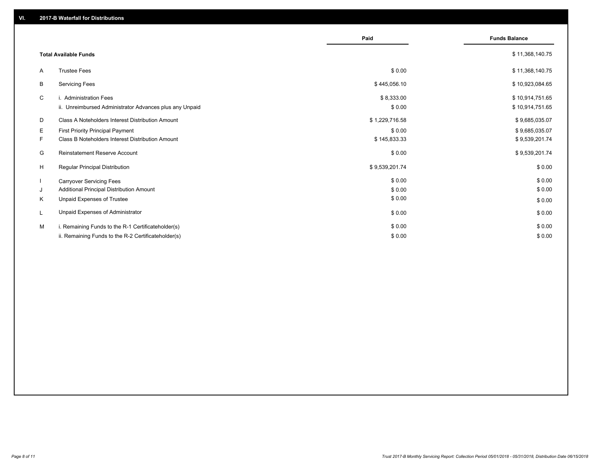|    |                                                         | Paid           | <b>Funds Balance</b> |
|----|---------------------------------------------------------|----------------|----------------------|
|    | <b>Total Available Funds</b>                            |                | \$11,368,140.75      |
| A  | <b>Trustee Fees</b>                                     | \$0.00         | \$11,368,140.75      |
| B  | <b>Servicing Fees</b>                                   | \$445,056.10   | \$10,923,084.65      |
| C  | i. Administration Fees                                  | \$8,333.00     | \$10,914,751.65      |
|    | ii. Unreimbursed Administrator Advances plus any Unpaid | \$0.00         | \$10,914,751.65      |
| D  | Class A Noteholders Interest Distribution Amount        | \$1,229,716.58 | \$9,685,035.07       |
| Е  | <b>First Priority Principal Payment</b>                 | \$0.00         | \$9,685,035.07       |
| F. | Class B Noteholders Interest Distribution Amount        | \$145,833.33   | \$9,539,201.74       |
| G  | Reinstatement Reserve Account                           | \$0.00         | \$9,539,201.74       |
| H  | <b>Regular Principal Distribution</b>                   | \$9,539,201.74 | \$0.00               |
|    | <b>Carryover Servicing Fees</b>                         | \$0.00         | \$0.00               |
| J  | Additional Principal Distribution Amount                | \$0.00         | \$0.00               |
| K  | <b>Unpaid Expenses of Trustee</b>                       | \$0.00         | \$0.00               |
|    | Unpaid Expenses of Administrator                        | \$0.00         | \$0.00               |
| M  | i. Remaining Funds to the R-1 Certificateholder(s)      | \$0.00         | \$0.00               |
|    | ii. Remaining Funds to the R-2 Certificateholder(s)     | \$0.00         | \$0.00               |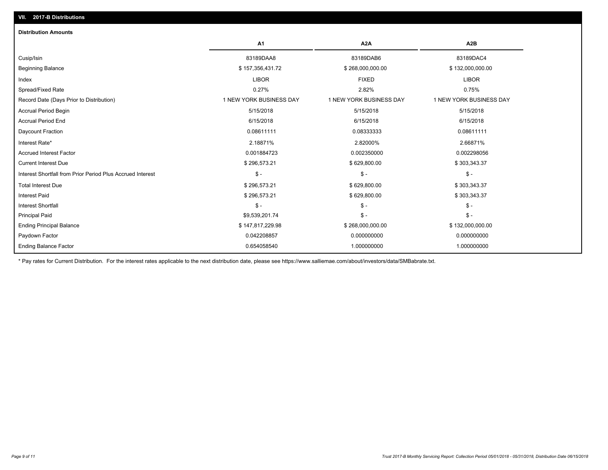| <b>Distribution Amounts</b>                                |                         |                         |                         |
|------------------------------------------------------------|-------------------------|-------------------------|-------------------------|
|                                                            | <b>A1</b>               | A <sub>2</sub> A        | A <sub>2</sub> B        |
| Cusip/Isin                                                 | 83189DAA8               | 83189DAB6               | 83189DAC4               |
| <b>Beginning Balance</b>                                   | \$157,356,431.72        | \$268,000,000.00        | \$132,000,000.00        |
| Index                                                      | <b>LIBOR</b>            | <b>FIXED</b>            | <b>LIBOR</b>            |
| Spread/Fixed Rate                                          | 0.27%                   | 2.82%                   | 0.75%                   |
| Record Date (Days Prior to Distribution)                   | 1 NEW YORK BUSINESS DAY | 1 NEW YORK BUSINESS DAY | 1 NEW YORK BUSINESS DAY |
| <b>Accrual Period Begin</b>                                | 5/15/2018               | 5/15/2018               | 5/15/2018               |
| <b>Accrual Period End</b>                                  | 6/15/2018               | 6/15/2018               | 6/15/2018               |
| Daycount Fraction                                          | 0.08611111              | 0.08333333              | 0.08611111              |
| Interest Rate*                                             | 2.18871%                | 2.82000%                | 2.66871%                |
| <b>Accrued Interest Factor</b>                             | 0.001884723             | 0.002350000             | 0.002298056             |
| <b>Current Interest Due</b>                                | \$296,573.21            | \$629,800.00            | \$303,343.37            |
| Interest Shortfall from Prior Period Plus Accrued Interest | $\mathsf{\$}$ -         | $\mathsf{\$}$ -         | $\mathcal{S}$ -         |
| <b>Total Interest Due</b>                                  | \$296,573.21            | \$629,800.00            | \$303,343.37            |
| <b>Interest Paid</b>                                       | \$296,573.21            | \$629,800.00            | \$303,343.37            |
| <b>Interest Shortfall</b>                                  | $\mathsf{\$}$ -         | $\mathsf{\$}$ -         | $\mathsf{\$}$ -         |
| <b>Principal Paid</b>                                      | \$9,539,201.74          | $\mathsf S$ -           | $\mathsf{\$}$ -         |
| <b>Ending Principal Balance</b>                            | \$147,817,229.98        | \$268,000,000.00        | \$132,000,000.00        |
| Paydown Factor                                             | 0.042208857             | 0.000000000             | 0.000000000             |
| <b>Ending Balance Factor</b>                               | 0.654058540             | 1.000000000             | 1.000000000             |

\* Pay rates for Current Distribution. For the interest rates applicable to the next distribution date, please see https://www.salliemae.com/about/investors/data/SMBabrate.txt.

**VII. 2017-B Distributions**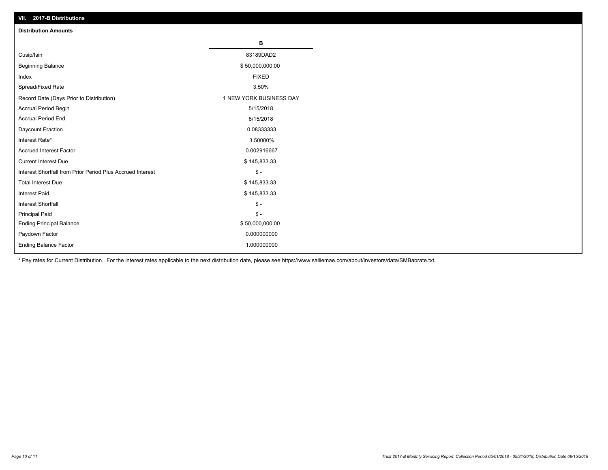| VII. 2017-B Distributions                                  |                         |
|------------------------------------------------------------|-------------------------|
| <b>Distribution Amounts</b>                                |                         |
|                                                            | в                       |
| Cusip/Isin                                                 | 83189DAD2               |
| <b>Beginning Balance</b>                                   | \$50,000,000.00         |
| Index                                                      | <b>FIXED</b>            |
| Spread/Fixed Rate                                          | 3.50%                   |
| Record Date (Days Prior to Distribution)                   | 1 NEW YORK BUSINESS DAY |
| Accrual Period Begin                                       | 5/15/2018               |
| <b>Accrual Period End</b>                                  | 6/15/2018               |
| Daycount Fraction                                          | 0.08333333              |
| Interest Rate*                                             | 3.50000%                |
| <b>Accrued Interest Factor</b>                             | 0.002916667             |
| <b>Current Interest Due</b>                                | \$145,833.33            |
| Interest Shortfall from Prior Period Plus Accrued Interest | $\mathsf{\$}$ -         |
| <b>Total Interest Due</b>                                  | \$145,833.33            |
| <b>Interest Paid</b>                                       | \$145,833.33            |
| <b>Interest Shortfall</b>                                  | $\mathsf{\$}$ -         |
| <b>Principal Paid</b>                                      | $\mathbb{S}$ -          |
| <b>Ending Principal Balance</b>                            | \$50,000,000.00         |
| Paydown Factor                                             | 0.000000000             |
| Ending Balance Factor                                      | 1.000000000             |

\* Pay rates for Current Distribution. For the interest rates applicable to the next distribution date, please see https://www.salliemae.com/about/investors/data/SMBabrate.txt.